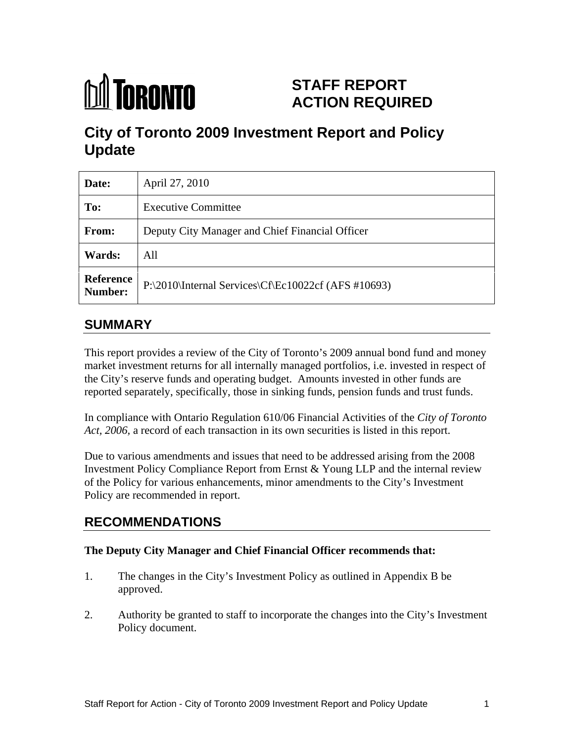

# **STAFF REPORT ACTION REQUIRED**

# **City of Toronto 2009 Investment Report and Policy Update**

| Date:         | April 27, 2010                                                |
|---------------|---------------------------------------------------------------|
| To:           | <b>Executive Committee</b>                                    |
| From:         | Deputy City Manager and Chief Financial Officer               |
| <b>Wards:</b> | All                                                           |
|               | Reference P:\2010\Internal Services\Cf\Ec10022cf (AFS #10693) |

## **SUMMARY**

This report provides a review of the City of Toronto's 2009 annual bond fund and money market investment returns for all internally managed portfolios, i.e. invested in respect of the City's reserve funds and operating budget. Amounts invested in other funds are reported separately, specifically, those in sinking funds, pension funds and trust funds.

In compliance with Ontario Regulation 610/06 Financial Activities of the *City of Toronto Act, 2006,* a record of each transaction in its own securities is listed in this report.

Due to various amendments and issues that need to be addressed arising from the 2008 Investment Policy Compliance Report from Ernst & Young LLP and the internal review of the Policy for various enhancements, minor amendments to the City's Investment Policy are recommended in report.

## **RECOMMENDATIONS**

#### **The Deputy City Manager and Chief Financial Officer recommends that:**

- 1. The changes in the City's Investment Policy as outlined in Appendix B be approved.
- 2. Authority be granted to staff to incorporate the changes into the City's Investment Policy document.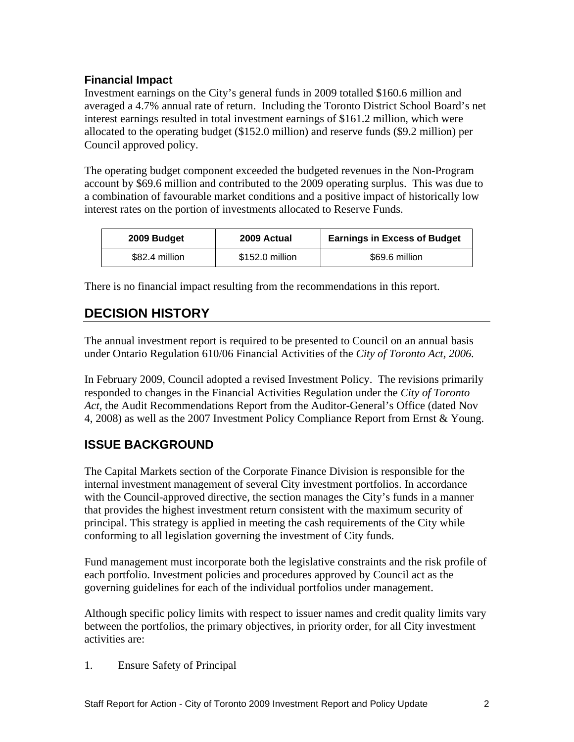#### **Financial Impact**

Investment earnings on the City's general funds in 2009 totalled \$160.6 million and averaged a 4.7% annual rate of return. Including the Toronto District School Board's net interest earnings resulted in total investment earnings of \$161.2 million, which were allocated to the operating budget (\$152.0 million) and reserve funds (\$9.2 million) per Council approved policy.<br>The operating budget component exceeded the budgeted revenues in the Non-Program

account by \$69.6 million and contributed to the 2009 operating surplus. This was due to a combination of favourable market conditions and a positive impact of historically low interest rates on the portion of investments allocated to Reserve Funds.

There is no financial impact resulting from the recommendations in this report.

## **DECISION HISTORY**

The annual investment report is required to be presented to Council on an annual basis under Ontario Regulation 610/06 Financial Activities of the *City of Toronto Act, 2006.*

In February 2009, Council adopted a revised Investment Policy. The revisions primarily responded to changes in the Financial Activities Regulation under the *City of Toronto Act,* the Audit Recommendations Report from the Auditor-General's Office (dated Nov 4, 2008) as well as the 2007 Investment Policy Compliance Report from Ernst & Young.

## **ISSUE BACKGROUND**

The Capital Markets section of the Corporate Finance Division is responsible for the internal investment management of several City investment portfolios. In accordance with the Council-approved directive, the section manages the City's funds in a manner that provides the highest investment return consistent with the maximum security of principal. This strategy is applied in meeting the cash requirements of the City while conforming to all legislation governing the investment of City funds.

Fund management must incorporate both the legislative constraints and the risk profile of each portfolio. Investment policies and procedures approved by Council act as the governing guidelines for each of the individual portfolios under management.

 Although specific policy limits with respect to issuer names and credit quality limits vary between the portfolios, the primary objectives, in priority order, for all City investment activities are:

1. Ensure Safety of Principal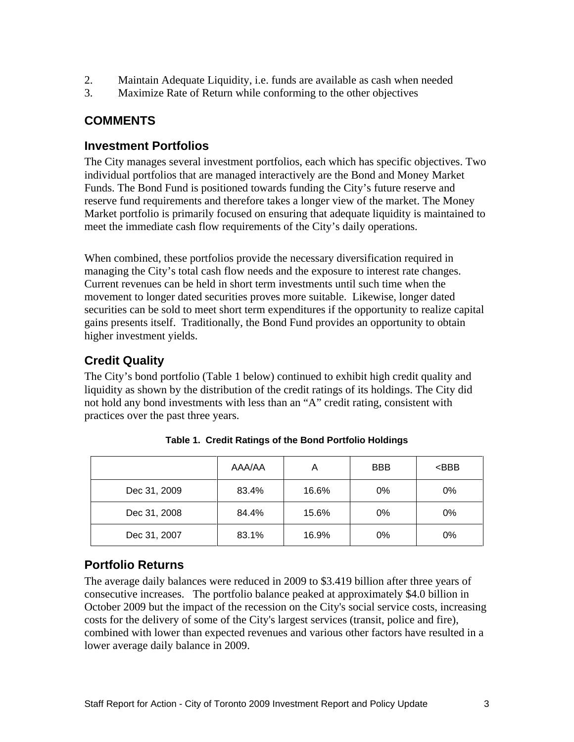- 2. Maintain Adequate Liquidity, i.e. funds are available as cash when needed
- 3. Maximize Rate of Return while conforming to the other objectives

## **COMMENTS**

#### **Investment Portfolios**

The City manages several investment portfolios, each which has specific objectives. Two individual portfolios that are managed interactively are the Bond and Money Market Funds. The Bond Fund is positioned towards funding the City's future reserve and reserve fund requirements and therefore takes a longer view of the market. The Money Market portfolio is primarily focused on ensuring that adequate liquidity is maintained to meet the immediate cash flow requirements of the City's daily operations.

When combined, these portfolios provide the necessary diversification required in managing the City's total cash flow needs and the exposure to interest rate changes. Current revenues can be held in short term investments until such time when the movement to longer dated securities proves more suitable. Likewise, longer dated securities can be sold to meet short term expenditures if the opportunity to realize capital gains presents itself. Traditionally, the Bond Fund provides an opportunity to obtain higher investment yields.

## **Credit Quality**

The City's bond portfolio (Table 1 below) continued to exhibit high credit quality and liquidity as shown by the distribution of the credit ratings of its holdings. The City did not hold any bond investments with less than an "A" credit rating, consistent with practices over the past three years.

|              | AAA/AA |       | <b>BBB</b> | $<$ BBB |
|--------------|--------|-------|------------|---------|
| Dec 31, 2009 | 83.4%  | 16.6% | 0%         | 0%      |
| Dec 31, 2008 | 84.4%  | 15.6% | 0%         | 0%      |
| Dec 31, 2007 | 83.1%  | 16.9% | 0%         | 0%      |

**Table 1. Credit Ratings of the Bond Portfolio Holdings**

### **Portfolio Returns**

The average daily balances were reduced in 2009 to \$3.419 billion after three years of consecutive increases. The portfolio balance peaked at approximately \$4.0 billion in October 2009 but the impact of the recession on the City's social service costs, increasing costs for the delivery of some of the City's largest services (transit, police and fire), combined with lower than expected revenues and various other factors have resulted in a lower average daily balance in 2009.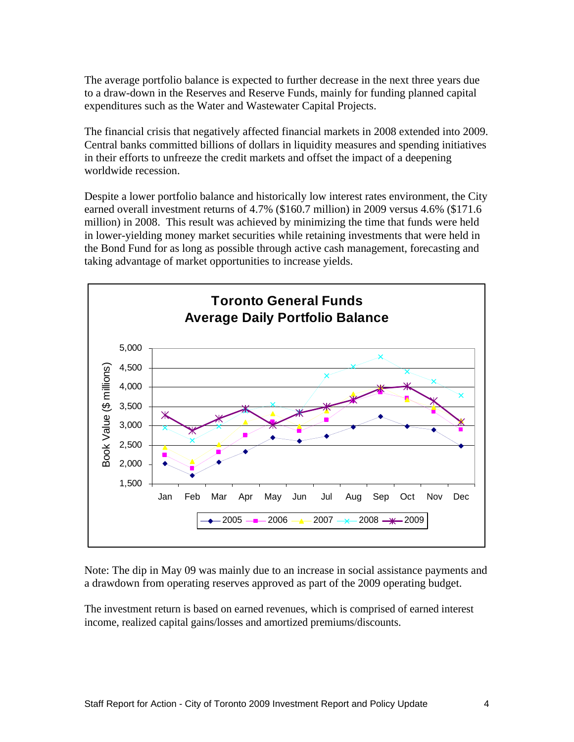The average portfolio balance is expected to further decrease in the next three years due to a draw-down in the Reserves and Reserve Funds, mainly for funding planned capital expenditures such as the Water and Wastewater Capital Projects.

The financial crisis that negatively affected financial markets in 2008 extended into 2009. Central banks committed billions of dollars in liquidity measures and spending initiatives in their efforts to unfreeze the credit markets and offset the impact of a deepening worldwide recession.

Despite a lower portfolio balance and historically low interest rates environment, the City earned overall investment returns of 4.7% (\$160.7 million) in 2009 versus 4.6% (\$171.6 million) in 2008. This result was achieved by minimizing the time that funds were held in lower-yielding money market securities while retaining investments that were held in the Bond Fund for as long as possible through active cash management, forecasting and taking advantage of market opportunities to increase yields.



Note: The dip in May 09 was mainly due to an increase in social assistance payments and a drawdown from operating reserves approved as part of the 2009 operating budget.

The investment return is based on earned revenues, which is comprised of earned interest income, realized capital gains/losses and amortized premiums/discounts.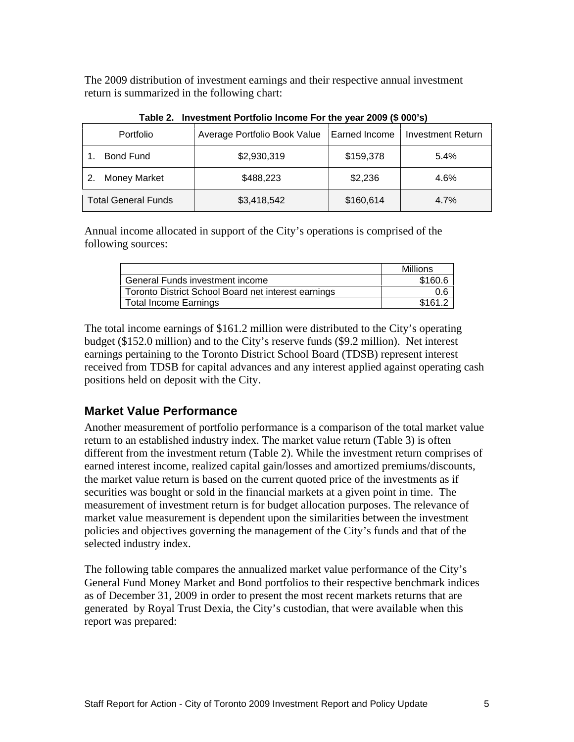The 2009 distribution of investment earnings and their respective annual investment return is summarized in the following chart:

|                     | rable <b>E</b> : investment r ortions insome r or the year 2000 ( $\psi$ 000 s) |                                                                                                              |      |
|---------------------|---------------------------------------------------------------------------------|--------------------------------------------------------------------------------------------------------------|------|
| Portfolio           | │ Average Portfolio Book Value │Earned Income │ Investment Return │             |                                                                                                              |      |
| <b>Bond Fund</b>    | \$2,930,319                                                                     | $$159.37^{\circ}$<br>$\mathbf{r}$ , $\mathbf{r}$ , $\mathbf{r}$ , $\mathbf{r}$ , $\mathbf{r}$ , $\mathbf{r}$ | 5.4% |
| 2. Money Market     | \$488,223                                                                       | \$2,236                                                                                                      | 4.6% |
| Total General Funds | \$3,418,542                                                                     | \$160,614                                                                                                    | 4.7% |

**Table 2. Investment Portfolio Income For the year 2009 (\$ 000's)**

Annual income allocated in support of the City's operations is comprised of the following sources:

|                                                     | $M:II: \sim \sim$ |
|-----------------------------------------------------|-------------------|
| $\sim$<br>General Funds investment income           | \$160.6           |
| Toronto District School Board net interest earnings | v.v               |
| Total Income Earnings                               | \$161.2           |

The total income earnings of \$161.2 million were distributed to the City's operating budget (\$152.0 million) and to the City's reserve funds (\$9.2 million). Net interest earnings pertaining to the Toronto District School Board (TDSB) represent interest received from TDSB for capital advances and any interest applied against operating cash positions held on deposit with the City.

#### **Market Value Performance**

Another measurement of portfolio performance is a comparison of the total market value return to an established industry index. The market value return (Table 3) is often different from the investment return (Table 2). While the investment return comprises of earned interest income, realized capital gain/losses and amortized premiums/discounts, the market value return is based on the current quoted price of the investments as if securities was bought or sold in the financial markets at a given point in time. The measurement of investment return is for budget allocation purposes. The relevance of market value measurement is dependent upon the similarities between the investment policies and objectives governing the management of the City's funds and that of the selected industry index.

The following table compares the annualized market value performance of the City's General Fund Money Market and Bond portfolios to their respective benchmark indices as of December 31, 2009 in order to present the most recent markets returns that are generated by Royal Trust Dexia, the City's custodian, that were available when this report was prepared: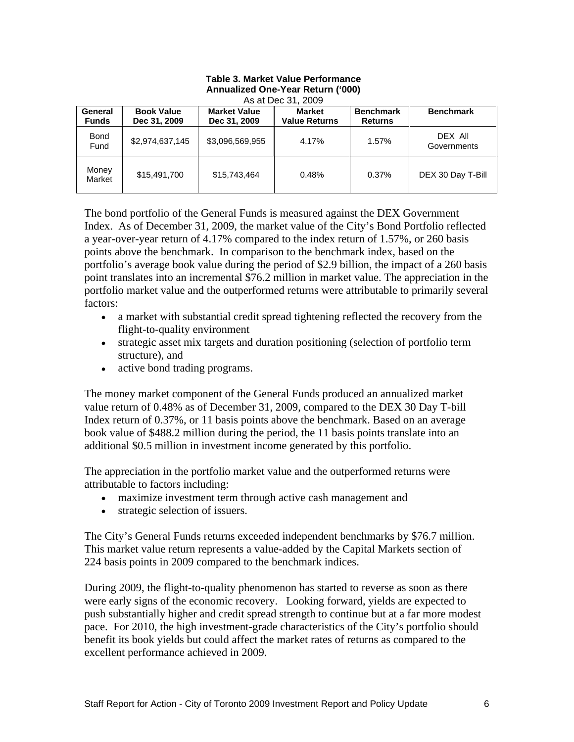|                 |                    | Annualized One-Year Return ('000)<br>As at Dec 31, 2009 |               |           |                               |
|-----------------|--------------------|---------------------------------------------------------|---------------|-----------|-------------------------------|
|                 | General Book Value | <b>Market Value</b>                                     | <b>Market</b> | Benchmark | <b>Benchmark</b>              |
| Funds           | Dec 31, 2009       | Dec 31, 2009   Value Returns                            |               | Returns   |                               |
| Bond<br>Fund    | \$2,974,637,145    | \$3,096,569,955                                         | 4.17%         | 1.57%     | <b>DEX All</b><br>Governments |
| Money<br>Market | \$15,491,700       | \$15,743,464                                            | 0.48%         | 0.37%     | DEX 30 Day T-Bill             |

# **Table 3. Market Value Performance**

The bond portfolio of the General Funds is measured against the DEX Government Index. As of December 31, 2009, the market value of the City's Bond Portfolio reflected a year-over-year return of 4.17% compared to the index return of 1.57%, or 260 basis points above the benchmark. In comparison to the benchmark index, based on the portfolio's average book value during the period of \$2.9 billion, the impact of a 260 basis point translates into an incremental \$76.2 million in market value. The appreciation in the portfolio market value and the outperformed returns were attributable to primarily several factors:

- a market with substantial credit spread tightening reflected the recovery from the flight-to-quality environment
- strategic asset mix targets and duration positioning (selection of portfolio term structure), and
- active bond trading programs.

The money market component of the General Funds produced an annualized market value return of 0.48% as of December 31, 2009, compared to the DEX 30 Day T-bill Index return of 0.37%, or 11 basis points above the benchmark. Based on an average book value of \$488.2 million during the period, the 11 basis points translate into an

additional \$0.5 million in investment income generated by this portfolio.<br>The appreciation in the portfolio market value and the outperformed returns were attributable to factors including:

- maximize investment term through active cash management and
- strategic selection of issuers.

The City's General Funds returns exceeded independent benchmarks by \$76.7 million. This market value return represents a value-added by the Capital Markets section of 224 basis points in 2009 compared to the benchmark indices.

During 2009, the flight-to-quality phenomenon has started to reverse as soon as there were early signs of the economic recovery. Looking forward, yields are expected to push substantially higher and credit spread strength to continue but at a far more modest pace. For 2010, the high investment-grade characteristics of the City's portfolio should benefit its book yields but could affect the market rates of returns as compared to the excellent performance achieved in 2009.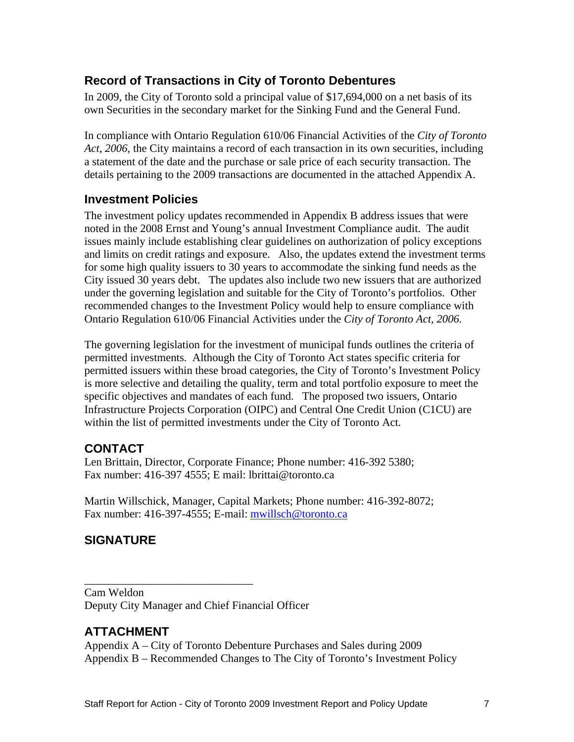#### **Record of Transactions in City of Toronto Debentures**

In 2009, the City of Toronto sold a principal value of \$17,694,000 on a net basis of its own Securities in the secondary market for the Sinking Fund and the General Fund. In compliance with Ontario Regulation 610/06 Financial Activities of the *City of Toronto* 

*Act, 2006,* the City maintains a record of each transaction in its own securities, including a statement of the date and the purchase or sale price of each security transaction. The details pertaining to the 2009 transactions are documented in the attached Appendix A.

#### **Investment Policies**

The investment policy updates recommended in Appendix B address issues that were noted in the 2008 Ernst and Young's annual Investment Compliance audit. The audit issues mainly include establishing clear guidelines on authorization of policy exceptions and limits on credit ratings and exposure. Also, the updates extend the investment terms for some high quality issuers to 30 years to accommodate the sinking fund needs as the City issued 30 years debt. The updates also include two new issuers that are authorized under the governing legislation and suitable for the City of Toronto's portfolios. Other recommended changes to the Investment Policy would help to ensure compliance with Ontario Regulation 610/06 Financial Activities under the *City of Toronto Act, 2006.*

The governing legislation for the investment of municipal funds outlines the criteria of permitted investments. Although the City of Toronto Act states specific criteria for permitted issuers within these broad categories, the City of Toronto's Investment Policy is more selective and detailing the quality, term and total portfolio exposure to meet the specific objectives and mandates of each fund. The proposed two issuers, Ontario Infrastructure Projects Corporation (OIPC) and Central One Credit Union (C1CU) are within the list of permitted investments under the City of Toronto Act*.*

#### **CONTACT**

Len Brittain, Director, Corporate Finance; Phone number: 416-392 5380; Fax number: 416-397 4555; E mail: lbrittai@toronto.ca

Martin Willschick, Manager, Capital Markets; Phone number: 416-392-8072; Fax number: 416-397-4555; E-mail: mwillsch@toronto.ca

### **SIGNATURE**

 $\overline{\phantom{a}}$  , we can assume that the contract of  $\overline{\phantom{a}}$  , we can assume that the contract of  $\overline{\phantom{a}}$ Cam Weldon Deputy City Manager and Chief Financial Officer

#### **ATTACHMENT**

Appendix A – City of Toronto Debenture Purchases and Sales during 2009 Appendix B – Recommended Changes to The City of Toronto's Investment Policy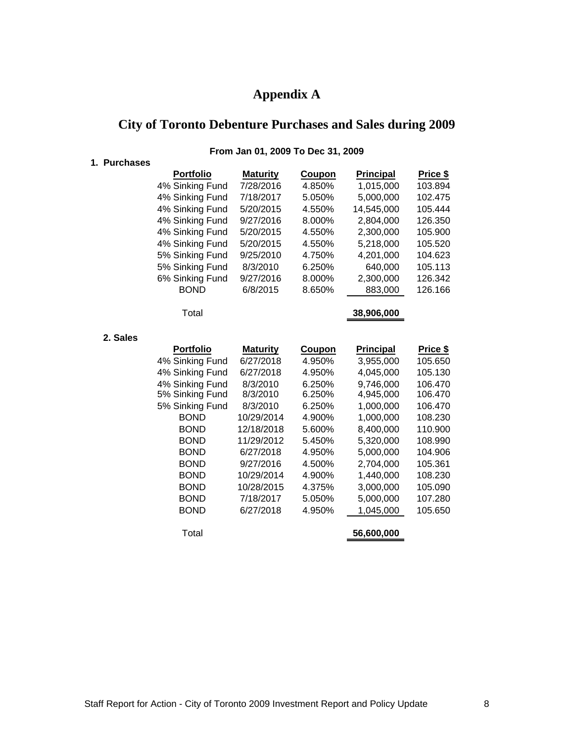#### **Appendix A**

#### **City of Toronto Debenture Purchases and Sales during 2009**

#### **1. Purchases Portfolio Maturity Coupon Principal Price \$** 4% Sinking Fund 7/28/2016 4.850% 1,015,000 103.894 4% Sinking Fund 7/18/2017 5.050% 5,000,000 102.475 4% Sinking Fund 5/20/2015 4.550% 14,545,000 105.444 4% Sinking Fund 9/27/2016 8.000% 2,804,000 126.350 4% Sinking Fund 5/20/2015 4.550% 2,300,000 105.900 4% Sinking Fund 5/20/2015 4.550% 5,218,000 105.520 5% Sinking Fund 9/25/2010 4.750% 4,201,000 104.623 5% Sinking Fund 8/3/2010 6.250% 640,000 105.113 6% Sinking Fund 9/27/2016 8.000% 2,300,000 126.342 BOND 6/8/2015 8.650% 883,000 126.166 Total **38,906,000 2. Sales Portfolio Maturity Coupon Principal Price \$** 4% Sinking Fund 6/27/2018 4.950% 3,955,000 105.650 4% Sinking Fund 6/27/2018 4.950% 4,045,000 105.130 4% Sinking Fund 8/3/2010 6.250% 9,746,000 106.470 5% Sinking Fund 8/3/2010 6.250% 4,945,000 106.470 5% Sinking Fund 8/3/2010 6.250% 1,000,000 106.470 BOND 10/29/2014 4.900% 1,000,000 108.230 BOND 12/18/2018 5.600% 8,400,000 110.900 BOND 11/29/2012 5.450% 5,320,000 108.990 BOND 6/27/2018 4.950% 5,000,000 104.906 BOND 9/27/2016 4.500% 2,704,000 105.361 BOND 10/29/2014 4.900% 1,440,000 108.230 BOND 10/28/2015 4.375% 3,000,000 105.090 BOND 7/18/2017 5.050% 5,000,000 107.280 BOND 6/27/2018 4.950% 1,045,000 105.650 Total **56,600,000**

#### **From Jan 01, 2009 To Dec 31, 2009**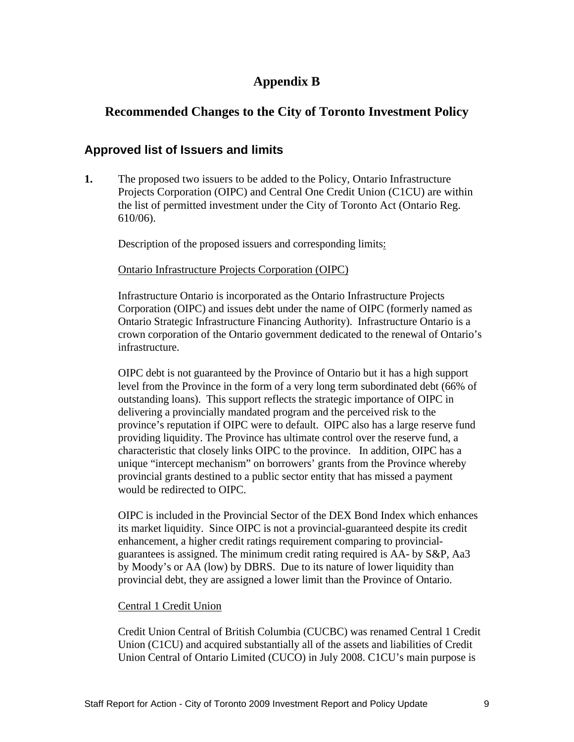## **Appendix B**

#### **Recommended Changes to the City of Toronto Investment Policy**

#### **Approved list of Issuers and limits**

**1.** The proposed two issuers to be added to the Policy, Ontario Infrastructure Projects Corporation (OIPC) and Central One Credit Union (C1CU) are within the list of permitted investment under the City of Toronto Act (Ontario Reg. 610/06).

Description of the proposed issuers and corresponding limits:

#### Ontario Infrastructure Projects Corporation (OIPC)

Infrastructure Ontario is incorporated as the Ontario Infrastructure Projects Corporation (OIPC) and issues debt under the name of OIPC (formerly named as Ontario Strategic Infrastructure Financing Authority). Infrastructure Ontario is a crown corporation of the Ontario government dedicated to the renewal of Ontario's infrastructure.

OIPC debt is not guaranteed by the Province of Ontario but it has a high support level from the Province in the form of a very long term subordinated debt (66% of outstanding loans). This support reflects the strategic importance of OIPC in delivering a provincially mandated program and the perceived risk to the province's reputation if OIPC were to default. OIPC also has a large reserve fund providing liquidity. The Province has ultimate control over the reserve fund, a characteristic that closely links OIPC to the province. In addition, OIPC has a unique "intercept mechanism" on borrowers' grants from the Province whereby provincial grants destined to a public sector entity that has missed a payment would be redirected to OIPC.

OIPC is included in the Provincial Sector of the DEX Bond Index which enhances its market liquidity. Since OIPC is not a provincial-guaranteed despite its credit enhancement, a higher credit ratings requirement comparing to provincial guarantees is assigned. The minimum credit rating required is AA- by S&P, Aa3 by Moody's or AA (low) by DBRS. Due to its nature of lower liquidity than provincial debt, they are assigned a lower limit than the Province of Ontario.

#### Central 1 Credit Union

Credit Union Central of British Columbia (CUCBC) was renamed Central 1 Credit Union (C1CU) and acquired substantially all of the assets and liabilities of Credit Union Central of Ontario Limited (CUCO) in July 2008. C1CU's main purpose is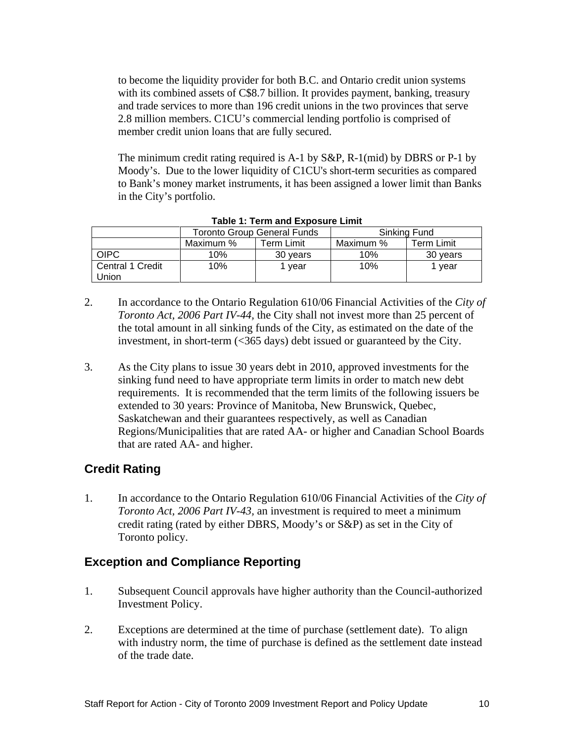to become the liquidity provider for both B.C. and Ontario credit union systems with its combined assets of C\$8.7 billion. It provides payment, banking, treasury and trade services to more than 196 credit unions in the two provinces that serve 2.8 million members. C1CU's commercial lending portfolio is comprised of member credit union loans that are fully secured.

The minimum credit rating required is A-1 by S&P, R-1(mid) by DBRS or P-1 by Moody's. Due to the lower liquidity of C1CU's short-term securities as compared to Bank's money market instruments, it has been assigned a lower limit than Banks in the City's portfolio.

|                  |                          | Toronto Group General Funds. | .                                                                                       | Sinking Fund |
|------------------|--------------------------|------------------------------|-----------------------------------------------------------------------------------------|--------------|
|                  | Maximu.                  | Term Limi.                   | Maximum                                                                                 | Term Limit   |
| . UPU            | $\overline{\phantom{a}}$ | ou yuu u                     | 100/<br>the contract of the contract of the contract of the contract of the contract of | 30 years     |
| Central 1 Credit |                          | 1100r                        | 100/<br><b>U</b> 70                                                                     | I year       |
| Union            |                          |                              |                                                                                         |              |

- **Table 1: Term and Exposure Limit**
- 2. In accordance to the Ontario Regulation 610/06 Financial Activities of the *City of Toronto Act, 2006 Part IV-44,* the City shall not invest more than 25 percent of the total amount in all sinking funds of the City, as estimated on the date of the investment, in short-term (<365 days) debt issued or guaranteed by the City.
- 3. As the City plans to issue 30 years debt in 2010, approved investments for the sinking fund need to have appropriate term limits in order to match new debt requirements. It is recommended that the term limits of the following issuers be extended to 30 years: Province of Manitoba, New Brunswick, Quebec, Saskatchewan and their guarantees respectively, as well as Canadian Regions/Municipalities that are rated AA- or higher and Canadian School Boards that are rated AA- and higher.

#### **Credit Rating**

1. In accordance to the Ontario Regulation 610/06 Financial Activities of the *City of Toronto Act, 2006 Part IV-43,* an investment is required to meet a minimum credit rating (rated by either DBRS, Moody's or S&P) as set in the City of Toronto policy.

#### **Exception and Compliance Reporting**

- 1. Subsequent Council approvals have higher authority than the Council-authorized Investment Policy.
- 2. Exceptions are determined at the time of purchase (settlement date). To align with industry norm, the time of purchase is defined as the settlement date instead of the trade date.